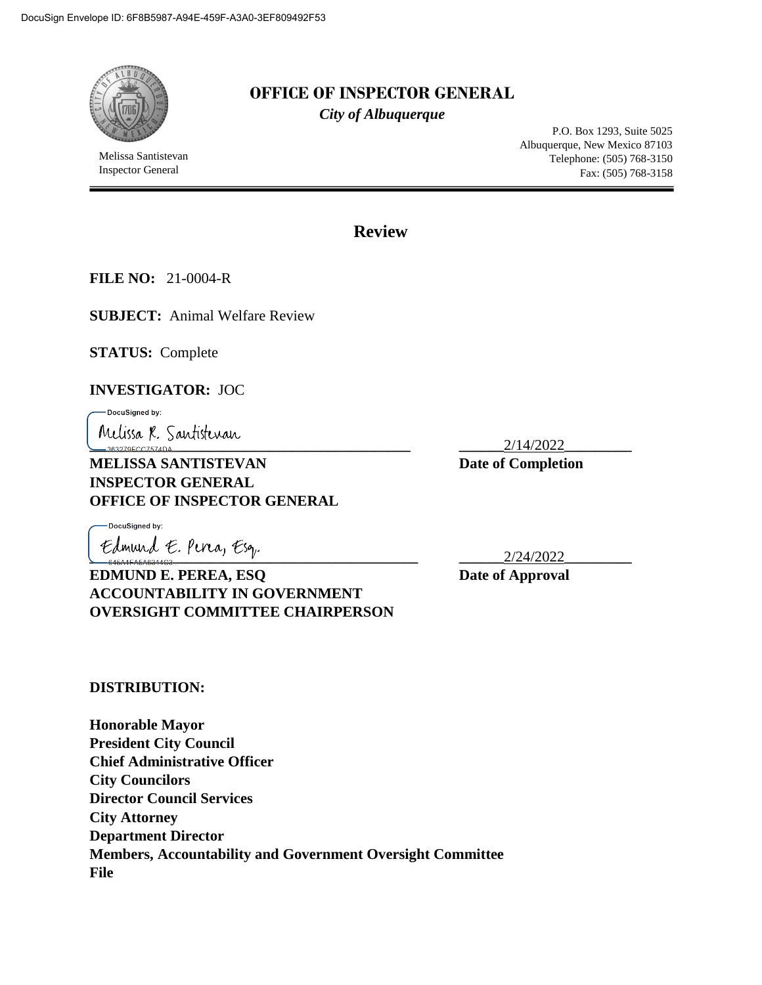

# **OFFICE OF INSPECTOR GENERAL**

*City of Albuquerque*

Melissa Santistevan Inspector General

P.O. Box 1293, Suite 5025 Albuquerque, New Mexico 87103 Telephone: (505) 768-3150 Fax: (505) 768-3158

**Review**

**FILE NO:** 21-0004-R

**SUBJECT:** Animal Welfare Review

**STATUS:** Complete

#### **INVESTIGATOR:** JOC

DocuSigned by:

**Melissa R. Santistevan**<br>--363279FCC7574DA...

**MELISSA SANTISTEVAN** Date of Completion **INSPECTOR GENERAL OFFICE OF INSPECTOR GENERAL**

DocuSianed by:

**\_\_\_\_\_\_\_\_\_\_\_\_\_\_\_\_\_\_\_\_\_\_\_\_\_\_\_\_\_\_\_\_\_\_\_\_\_\_\_\_\_\_\_\_ \_\_\_\_\_\_**2/24/2022**\_\_\_\_\_\_\_\_\_ EDMUND E. PEREA, ESQ** Date of Approval **ACCOUNTABILITY IN GOVERNMENT OVERSIGHT COMMITTEE CHAIRPERSON**

**DISTRIBUTION:**

**Honorable Mayor President City Council Chief Administrative Officer City Councilors Director Council Services City Attorney Department Director Members, Accountability and Government Oversight Committee File**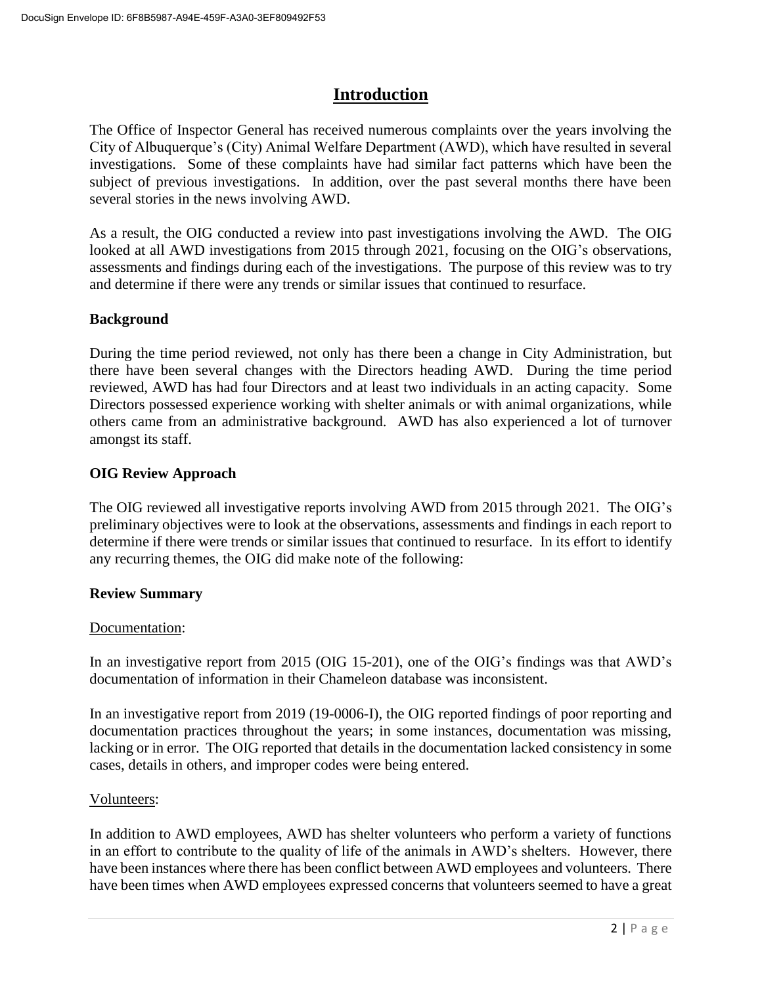# **Introduction**

The Office of Inspector General has received numerous complaints over the years involving the City of Albuquerque's (City) Animal Welfare Department (AWD), which have resulted in several investigations. Some of these complaints have had similar fact patterns which have been the subject of previous investigations. In addition, over the past several months there have been several stories in the news involving AWD.

As a result, the OIG conducted a review into past investigations involving the AWD. The OIG looked at all AWD investigations from 2015 through 2021, focusing on the OIG's observations, assessments and findings during each of the investigations. The purpose of this review was to try and determine if there were any trends or similar issues that continued to resurface.

### **Background**

During the time period reviewed, not only has there been a change in City Administration, but there have been several changes with the Directors heading AWD. During the time period reviewed, AWD has had four Directors and at least two individuals in an acting capacity. Some Directors possessed experience working with shelter animals or with animal organizations, while others came from an administrative background. AWD has also experienced a lot of turnover amongst its staff.

### **OIG Review Approach**

The OIG reviewed all investigative reports involving AWD from 2015 through 2021. The OIG's preliminary objectives were to look at the observations, assessments and findings in each report to determine if there were trends or similar issues that continued to resurface. In its effort to identify any recurring themes, the OIG did make note of the following:

### **Review Summary**

### Documentation:

In an investigative report from 2015 (OIG 15-201), one of the OIG's findings was that AWD's documentation of information in their Chameleon database was inconsistent.

In an investigative report from 2019 (19-0006-I), the OIG reported findings of poor reporting and documentation practices throughout the years; in some instances, documentation was missing, lacking or in error. The OIG reported that details in the documentation lacked consistency in some cases, details in others, and improper codes were being entered.

### Volunteers:

In addition to AWD employees, AWD has shelter volunteers who perform a variety of functions in an effort to contribute to the quality of life of the animals in AWD's shelters. However, there have been instances where there has been conflict between AWD employees and volunteers. There have been times when AWD employees expressed concerns that volunteers seemed to have a great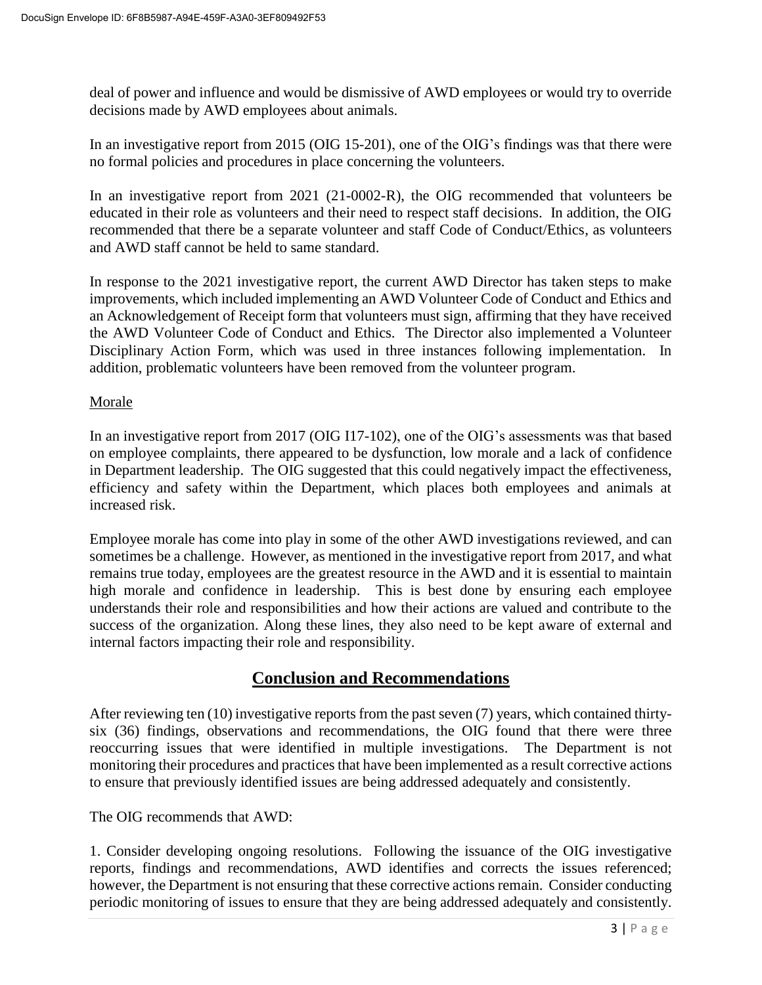deal of power and influence and would be dismissive of AWD employees or would try to override decisions made by AWD employees about animals.

In an investigative report from 2015 (OIG 15-201), one of the OIG's findings was that there were no formal policies and procedures in place concerning the volunteers.

In an investigative report from 2021 (21-0002-R), the OIG recommended that volunteers be educated in their role as volunteers and their need to respect staff decisions. In addition, the OIG recommended that there be a separate volunteer and staff Code of Conduct/Ethics, as volunteers and AWD staff cannot be held to same standard.

In response to the 2021 investigative report, the current AWD Director has taken steps to make improvements, which included implementing an AWD Volunteer Code of Conduct and Ethics and an Acknowledgement of Receipt form that volunteers must sign, affirming that they have received the AWD Volunteer Code of Conduct and Ethics. The Director also implemented a Volunteer Disciplinary Action Form, which was used in three instances following implementation. In addition, problematic volunteers have been removed from the volunteer program.

#### Morale

In an investigative report from 2017 (OIG I17-102), one of the OIG's assessments was that based on employee complaints, there appeared to be dysfunction, low morale and a lack of confidence in Department leadership. The OIG suggested that this could negatively impact the effectiveness, efficiency and safety within the Department, which places both employees and animals at increased risk.

Employee morale has come into play in some of the other AWD investigations reviewed, and can sometimes be a challenge. However, as mentioned in the investigative report from 2017, and what remains true today, employees are the greatest resource in the AWD and it is essential to maintain high morale and confidence in leadership. This is best done by ensuring each employee understands their role and responsibilities and how their actions are valued and contribute to the success of the organization. Along these lines, they also need to be kept aware of external and internal factors impacting their role and responsibility.

## **Conclusion and Recommendations**

After reviewing ten (10) investigative reports from the past seven (7) years, which contained thirtysix (36) findings, observations and recommendations, the OIG found that there were three reoccurring issues that were identified in multiple investigations. The Department is not monitoring their procedures and practices that have been implemented as a result corrective actions to ensure that previously identified issues are being addressed adequately and consistently.

The OIG recommends that AWD:

1. Consider developing ongoing resolutions. Following the issuance of the OIG investigative reports, findings and recommendations, AWD identifies and corrects the issues referenced; however, the Department is not ensuring that these corrective actions remain. Consider conducting periodic monitoring of issues to ensure that they are being addressed adequately and consistently.